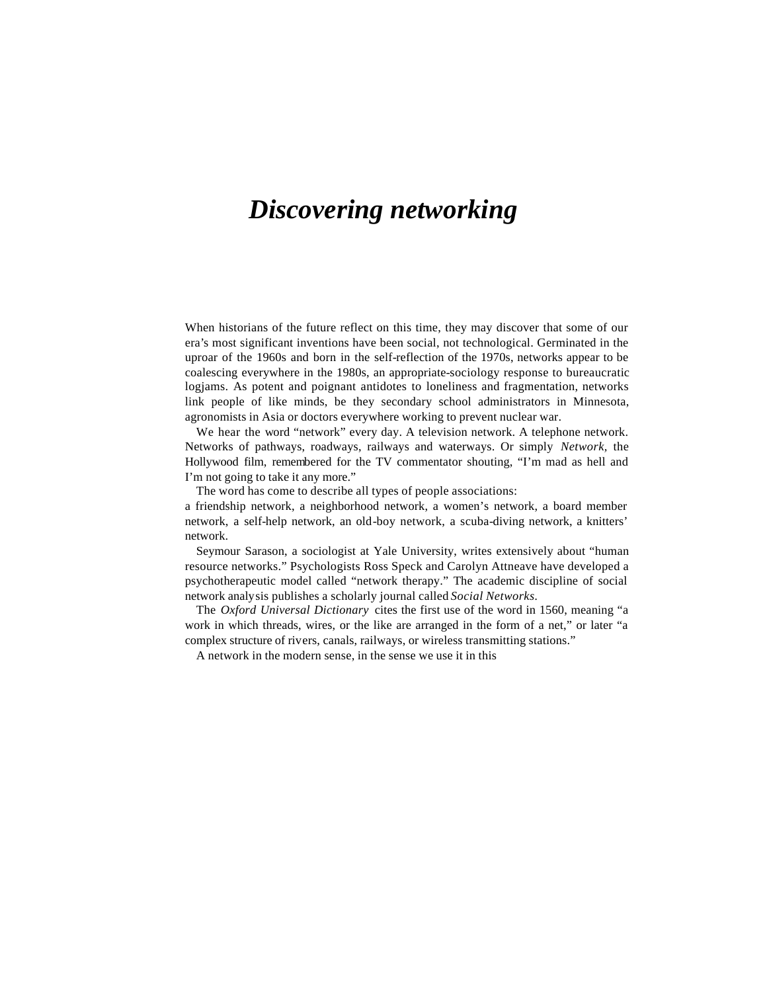# *Discovering networking*

When historians of the future reflect on this time, they may discover that some of our era's most significant inventions have been social, not technological. Germinated in the uproar of the 1960s and born in the self-reflection of the 1970s, networks appear to be coalescing everywhere in the 1980s, an appropriate-sociology response to bureaucratic logjams. As potent and poignant antidotes to loneliness and fragmentation, networks link people of like minds, be they secondary school administrators in Minnesota, agronomists in Asia or doctors everywhere working to prevent nuclear war.

We hear the word "network" every day. A television network. A telephone network. Networks of pathways, roadways, railways and waterways. Or simply *Network,* the Hollywood film, remembered for the TV commentator shouting, "I'm mad as hell and I'm not going to take it any more."

The word has come to describe all types of people associations:

a friendship network, a neighborhood network, a women's network, a board member network, a self-help network, an old-boy network, a scuba-diving network, a knitters' network.

Seymour Sarason, a sociologist at Yale University, writes extensively about "human resource networks." Psychologists Ross Speck and Carolyn Attneave have developed a psychotherapeutic model called "network therapy." The academic discipline of social network analysis publishes a scholarly journal called *Social Networks.*

The *Oxford Universal Dictionary* cites the first use of the word in 1560, meaning "a work in which threads, wires, or the like are arranged in the form of a net," or later "a complex structure of rivers, canals, railways, or wireless transmitting stations."

A network in the modern sense, in the sense we use it in this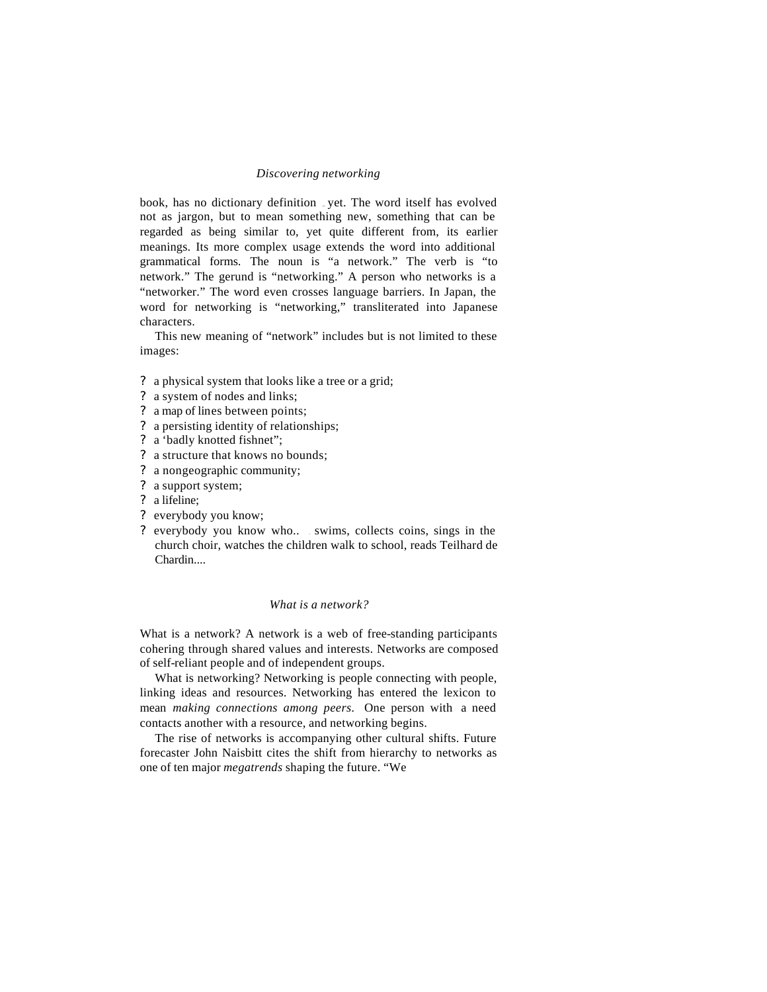### *Discovering networking*

book, has no dictionary definition ... yet. The word itself has evolved not as jargon, but to mean something new, something that can be regarded as being similar to, yet quite different from, its earlier meanings. Its more complex usage extends the word into additional grammatical forms. The noun is "a network." The verb is "to network." The gerund is "networking." A person who networks is a "networker." The word even crosses language barriers. In Japan, the word for networking is "networking," transliterated into Japanese characters.

This new meaning of "network" includes but is not limited to these images:

- ? a physical system that looks like a tree or a grid;
- ? a system of nodes and links;
- ? a map of lines between points;
- ? a persisting identity of relationships;
- ? a 'badly knotted fishnet";
- ? a structure that knows no bounds;
- ? a nongeographic community;
- ? a support system;
- ? a lifeline;
- ? everybody you know;
- ? everybody you know who.. . swims, collects coins, sings in the church choir, watches the children walk to school, reads Teilhard de Chardin....

## *What is a network?*

What is a network? A network is a web of free-standing participants cohering through shared values and interests. Networks are composed of self-reliant people and of independent groups.

What is networking? Networking is people connecting with people, linking ideas and resources. Networking has entered the lexicon to mean *making connections among peers.* One person with a need contacts another with a resource, and networking begins.

The rise of networks is accompanying other cultural shifts. Future forecaster John Naisbitt cites the shift from hierarchy to networks as one of ten major *megatrends* shaping the future. "We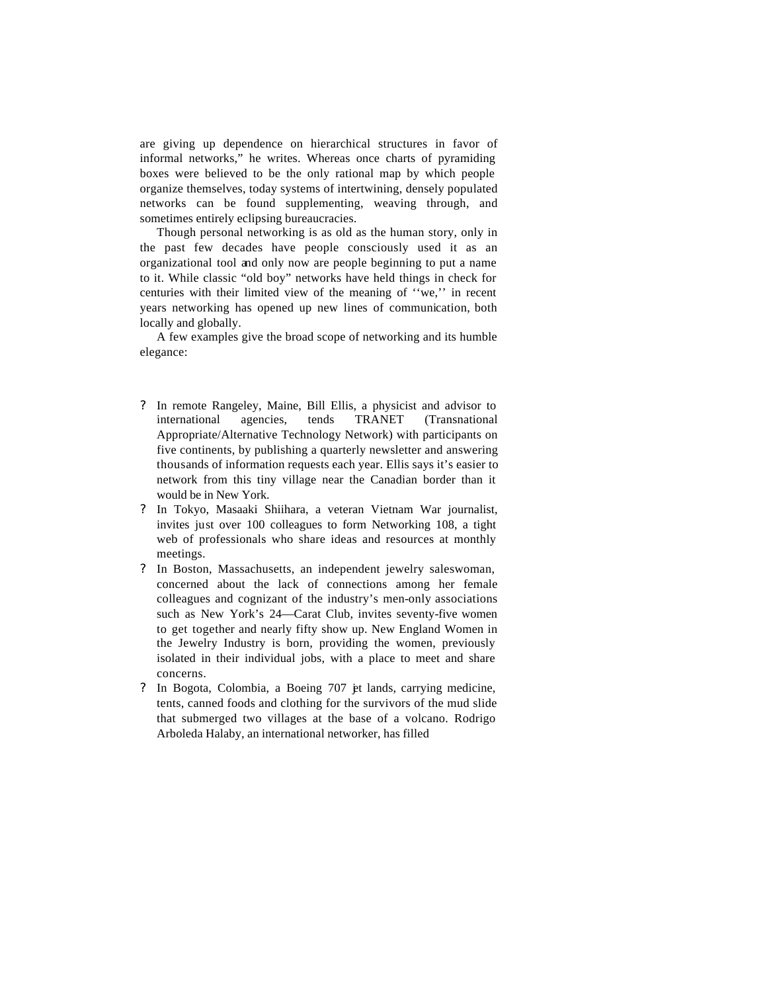are giving up dependence on hierarchical structures in favor of informal networks," he writes. Whereas once charts of pyramiding boxes were believed to be the only rational map by which people organize themselves, today systems of intertwining, densely populated networks can be found supplementing, weaving through, and sometimes entirely eclipsing bureaucracies.

Though personal networking is as old as the human story, only in the past few decades have people consciously used it as an organizational tool and only now are people beginning to put a name to it. While classic "old boy" networks have held things in check for centuries with their limited view of the meaning of ''we,'' in recent years networking has opened up new lines of communication, both locally and globally.

A few examples give the broad scope of networking and its humble elegance:

- ? In remote Rangeley, Maine, Bill Ellis, a physicist and advisor to international agencies, tends TRANET (Transnational Appropriate/Alternative Technology Network) with participants on five continents, by publishing a quarterly newsletter and answering thousands of information requests each year. Ellis says it's easier to network from this tiny village near the Canadian border than it would be in New York.
- ? In Tokyo, Masaaki Shiihara, a veteran Vietnam War journalist, invites just over 100 colleagues to form Networking 108, a tight web of professionals who share ideas and resources at monthly meetings.
- ? In Boston, Massachusetts, an independent jewelry saleswoman, concerned about the lack of connections among her female colleagues and cognizant of the industry's men-only associations such as New York's 24—Carat Club, invites seventy-five women to get together and nearly fifty show up. New England Women in the Jewelry Industry is born, providing the women, previously isolated in their individual jobs, with a place to meet and share concerns.
- ? In Bogota, Colombia, a Boeing 707 jet lands, carrying medicine, tents, canned foods and clothing for the survivors of the mud slide that submerged two villages at the base of a volcano. Rodrigo Arboleda Halaby, an international networker, has filled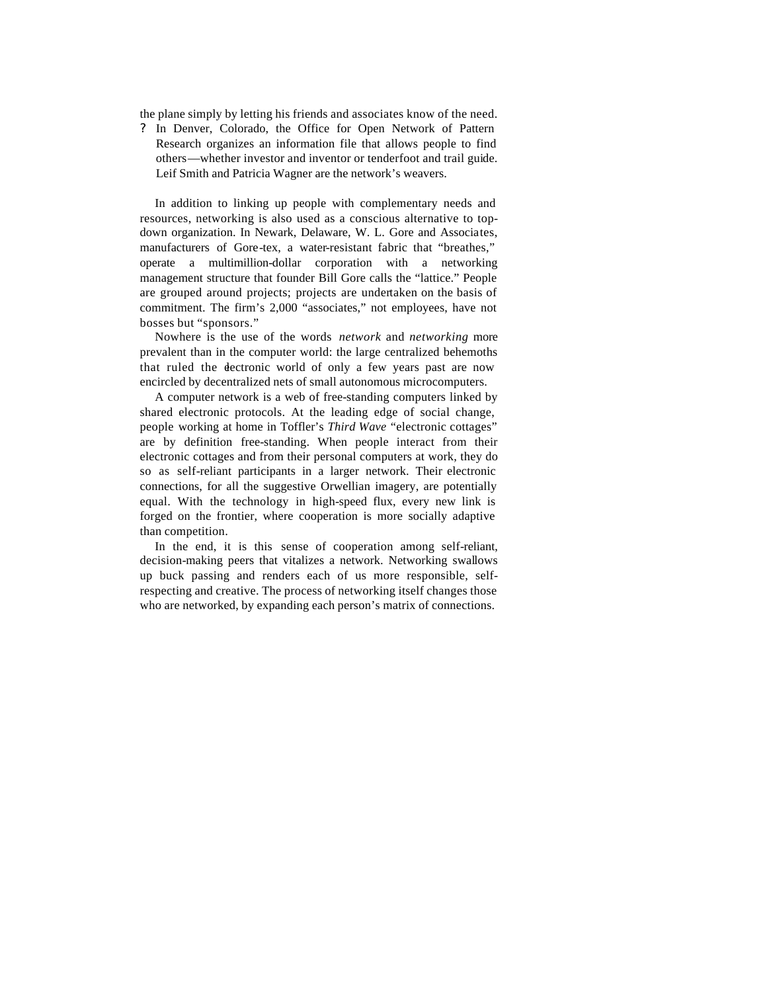the plane simply by letting his friends and associates know of the need.

? In Denver, Colorado, the Office for Open Network of Pattern Research organizes an information file that allows people to find others—whether investor and inventor or tenderfoot and trail guide. Leif Smith and Patricia Wagner are the network's weavers.

In addition to linking up people with complementary needs and resources, networking is also used as a conscious alternative to topdown organization. In Newark, Delaware, W. L. Gore and Associates, manufacturers of Gore-tex, a water-resistant fabric that "breathes," operate a multimillion-dollar corporation with a networking management structure that founder Bill Gore calls the "lattice." People are grouped around projects; projects are undertaken on the basis of commitment. The firm's 2,000 "associates," not employees, have not bosses but "sponsors."

Nowhere is the use of the words *network* and *networking* more prevalent than in the computer world: the large centralized behemoths that ruled the dectronic world of only a few years past are now encircled by decentralized nets of small autonomous microcomputers.

A computer network is a web of free-standing computers linked by shared electronic protocols. At the leading edge of social change, people working at home in Toffler's *Third Wave* "electronic cottages" are by definition free-standing. When people interact from their electronic cottages and from their personal computers at work, they do so as self-reliant participants in a larger network. Their electronic connections, for all the suggestive Orwellian imagery, are potentially equal. With the technology in high-speed flux, every new link is forged on the frontier, where cooperation is more socially adaptive than competition.

In the end, it is this sense of cooperation among self-reliant, decision-making peers that vitalizes a network. Networking swallows up buck passing and renders each of us more responsible, selfrespecting and creative. The process of networking itself changes those who are networked, by expanding each person's matrix of connections.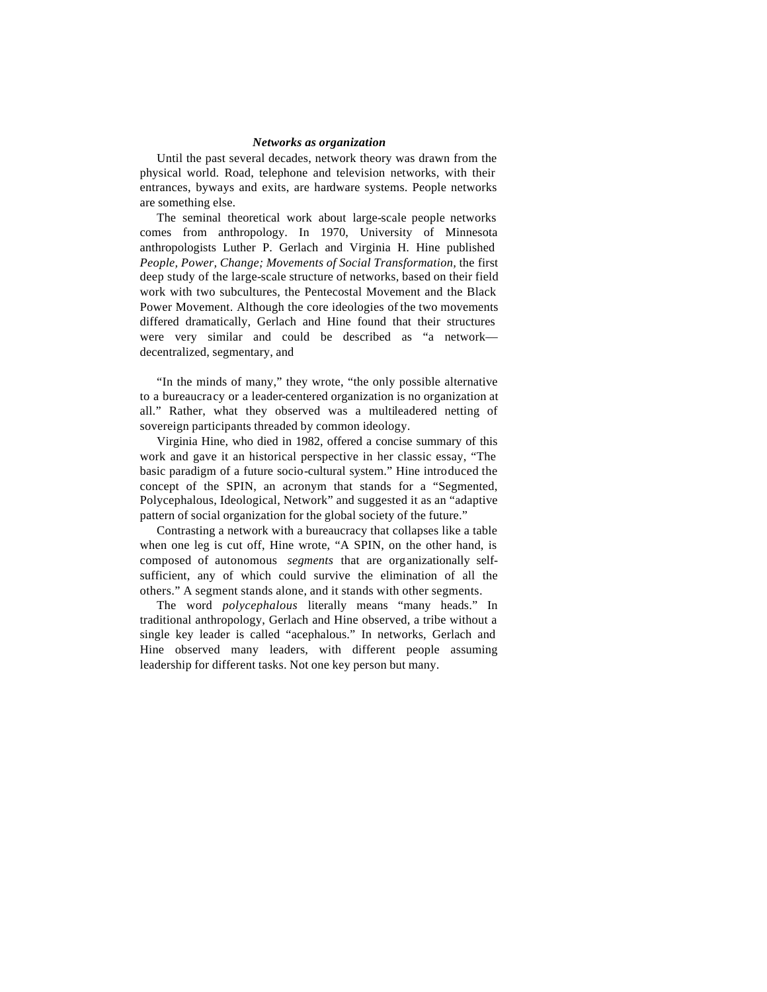### *Networks as organization*

Until the past several decades, network theory was drawn from the physical world. Road, telephone and television networks, with their entrances, byways and exits, are hardware systems. People networks are something else.

The seminal theoretical work about large-scale people networks comes from anthropology. In 1970, University of Minnesota anthropologists Luther P. Gerlach and Virginia H. Hine published *People, Power, Change; Movements of Social Transformation,* the first deep study of the large-scale structure of networks, based on their field work with two subcultures, the Pentecostal Movement and the Black Power Movement. Although the core ideologies of the two movements differed dramatically, Gerlach and Hine found that their structures were very similar and could be described as "a network decentralized, segmentary, and

"In the minds of many," they wrote, "the only possible alternative to a bureaucracy or a leader-centered organization is no organization at all." Rather, what they observed was a multileadered netting of sovereign participants threaded by common ideology.

Virginia Hine, who died in 1982, offered a concise summary of this work and gave it an historical perspective in her classic essay, "The basic paradigm of a future socio-cultural system." Hine introduced the concept of the SPIN, an acronym that stands for a "Segmented, Polycephalous, Ideological, Network" and suggested it as an "adaptive pattern of social organization for the global society of the future."

Contrasting a network with a bureaucracy that collapses like a table when one leg is cut off, Hine wrote, "A SPIN, on the other hand, is composed of autonomous *segments* that are organizationally selfsufficient, any of which could survive the elimination of all the others." A segment stands alone, and it stands with other segments.

The word *polycephalous* literally means "many heads." In traditional anthropology, Gerlach and Hine observed, a tribe without a single key leader is called "acephalous." In networks, Gerlach and Hine observed many leaders, with different people assuming leadership for different tasks. Not one key person but many.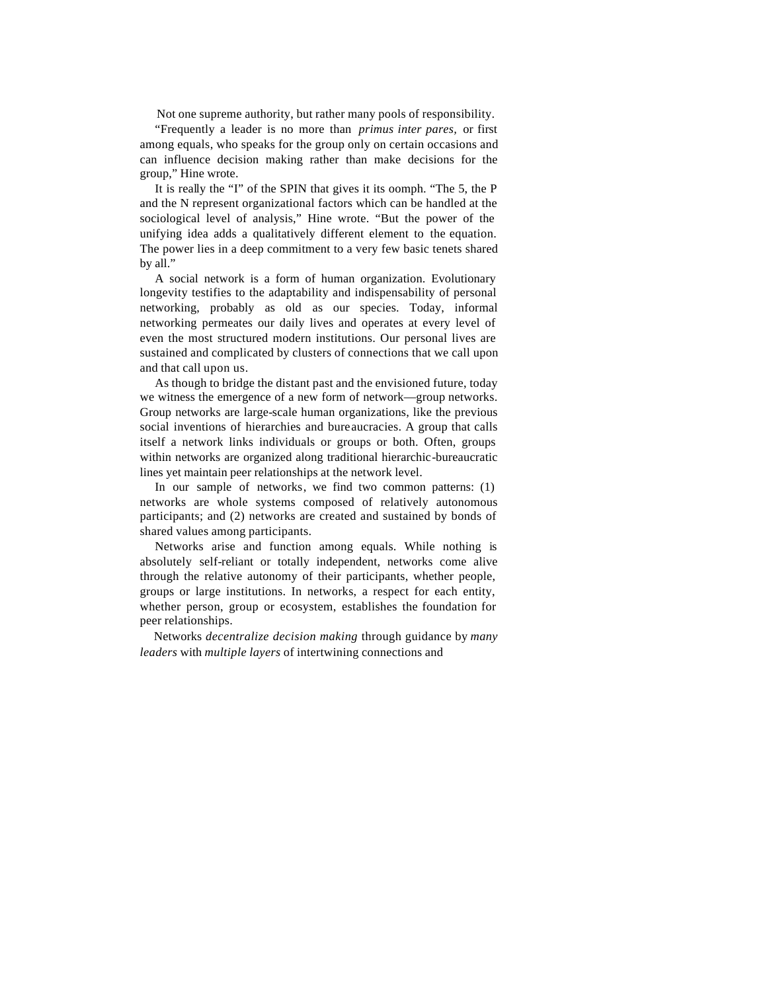Not one supreme authority, but rather many pools of responsibility.

"Frequently a leader is no more than *primus inter pares,* or first among equals, who speaks for the group only on certain occasions and can influence decision making rather than make decisions for the group," Hine wrote.

It is really the "I" of the SPIN that gives it its oomph. "The 5, the P and the N represent organizational factors which can be handled at the sociological level of analysis," Hine wrote. "But the power of the unifying idea adds a qualitatively different element to the equation. The power lies in a deep commitment to a very few basic tenets shared by all."

A social network is a form of human organization. Evolutionary longevity testifies to the adaptability and indispensability of personal networking, probably as old as our species. Today, informal networking permeates our daily lives and operates at every level of even the most structured modern institutions. Our personal lives are sustained and complicated by clusters of connections that we call upon and that call upon us.

As though to bridge the distant past and the envisioned future, today we witness the emergence of a new form of network—group networks. Group networks are large-scale human organizations, like the previous social inventions of hierarchies and bureaucracies. A group that calls itself a network links individuals or groups or both. Often, groups within networks are organized along traditional hierarchic-bureaucratic lines yet maintain peer relationships at the network level.

In our sample of networks, we find two common patterns: (1) networks are whole systems composed of relatively autonomous participants; and (2) networks are created and sustained by bonds of shared values among participants.

Networks arise and function among equals. While nothing is absolutely self-reliant or totally independent, networks come alive through the relative autonomy of their participants, whether people, groups or large institutions. In networks, a respect for each entity, whether person, group or ecosystem, establishes the foundation for peer relationships.

Networks *decentralize decision making* through guidance by *many leaders* with *multiple layers* of intertwining connections and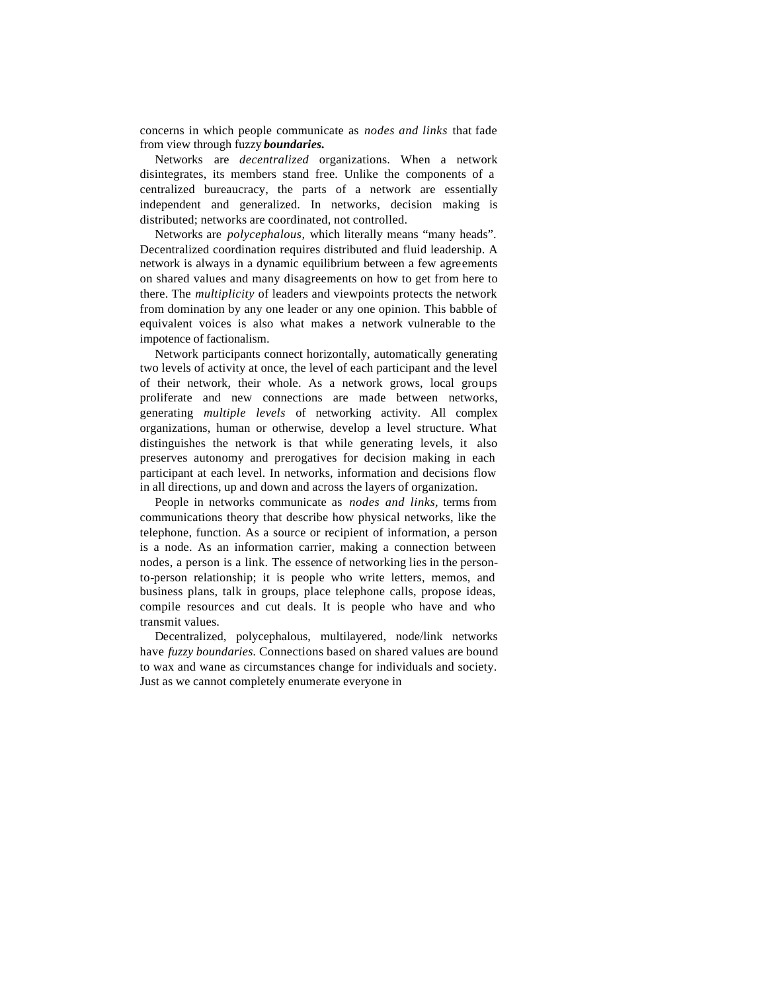concerns in which people communicate as *nodes and links* that fade from view through fuzzy *boundaries.*

Networks are *decentralized* organizations. When a network disintegrates, its members stand free. Unlike the components of a centralized bureaucracy, the parts of a network are essentially independent and generalized. In networks, decision making is distributed; networks are coordinated, not controlled.

Networks are *polycephalous,* which literally means "many heads". Decentralized coordination requires distributed and fluid leadership. A network is always in a dynamic equilibrium between a few agreements on shared values and many disagreements on how to get from here to there. The *multiplicity* of leaders and viewpoints protects the network from domination by any one leader or any one opinion. This babble of equivalent voices is also what makes a network vulnerable to the impotence of factionalism.

Network participants connect horizontally, automatically generating two levels of activity at once, the level of each participant and the level of their network, their whole. As a network grows, local groups proliferate and new connections are made between networks, generating *multiple levels* of networking activity. All complex organizations, human or otherwise, develop a level structure. What distinguishes the network is that while generating levels, it also preserves autonomy and prerogatives for decision making in each participant at each level. In networks, information and decisions flow in all directions, up and down and across the layers of organization.

People in networks communicate as *nodes and links,* terms from communications theory that describe how physical networks, like the telephone, function. As a source or recipient of information, a person is a node. As an information carrier, making a connection between nodes, a person is a link. The essence of networking lies in the personto-person relationship; it is people who write letters, memos, and business plans, talk in groups, place telephone calls, propose ideas, compile resources and cut deals. It is people who have and who transmit values.

Decentralized, polycephalous, multilayered, node/link networks have *fuzzy boundaries.* Connections based on shared values are bound to wax and wane as circumstances change for individuals and society. Just as we cannot completely enumerate everyone in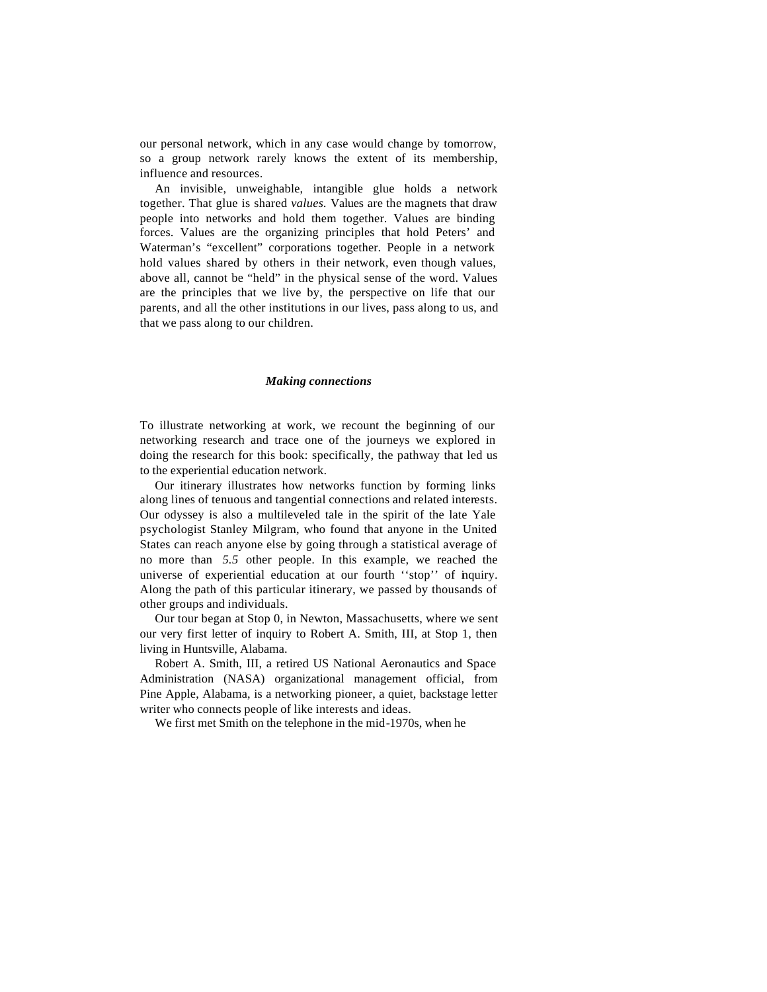our personal network, which in any case would change by tomorrow, so a group network rarely knows the extent of its membership, influence and resources.

An invisible, unweighable, intangible glue holds a network together. That glue is shared *values.* Values are the magnets that draw people into networks and hold them together. Values are binding forces. Values are the organizing principles that hold Peters' and Waterman's "excellent" corporations together. People in a network hold values shared by others in their network, even though values, above all, cannot be "held" in the physical sense of the word. Values are the principles that we live by, the perspective on life that our parents, and all the other institutions in our lives, pass along to us, and that we pass along to our children.

#### *Making connections*

To illustrate networking at work, we recount the beginning of our networking research and trace one of the journeys we explored in doing the research for this book: specifically, the pathway that led us to the experiential education network.

Our itinerary illustrates how networks function by forming links along lines of tenuous and tangential connections and related interests. Our odyssey is also a multileveled tale in the spirit of the late Yale psychologist Stanley Milgram, who found that anyone in the United States can reach anyone else by going through a statistical average of no more than *5.5* other people. In this example, we reached the universe of experiential education at our fourth ''stop'' of inquiry. Along the path of this particular itinerary, we passed by thousands of other groups and individuals.

Our tour began at Stop 0, in Newton, Massachusetts, where we sent our very first letter of inquiry to Robert A. Smith, III, at Stop 1, then living in Huntsville, Alabama.

Robert A. Smith, III, a retired US National Aeronautics and Space Administration (NASA) organizational management official, from Pine Apple, Alabama, is a networking pioneer, a quiet, backstage letter writer who connects people of like interests and ideas.

We first met Smith on the telephone in the mid-1970s, when he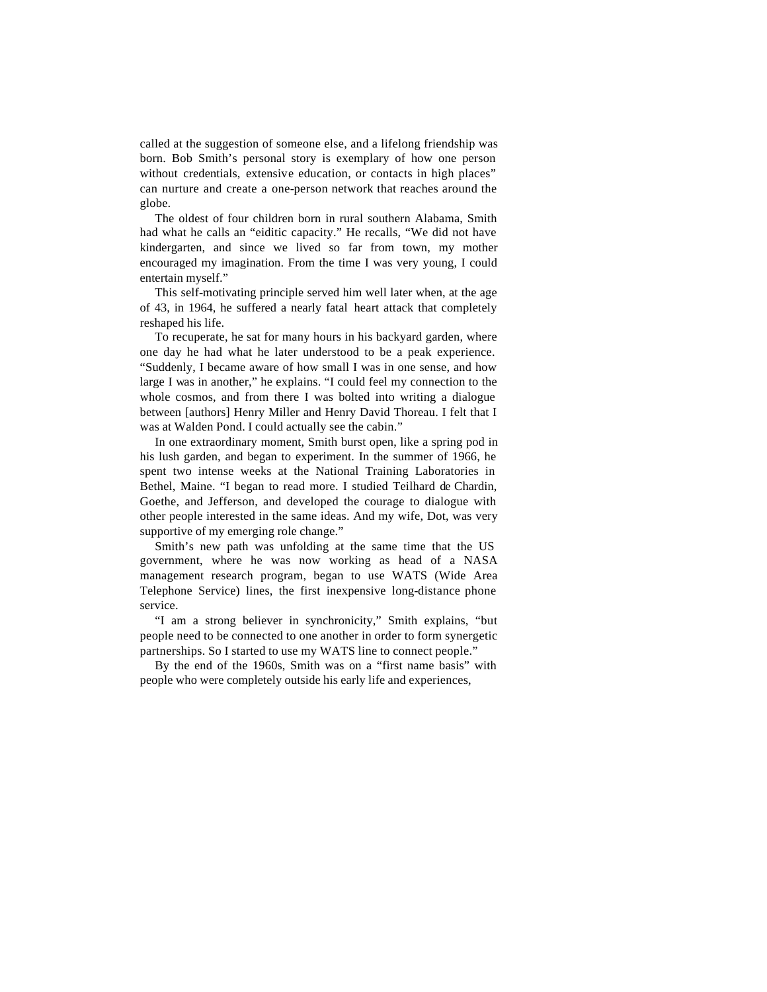called at the suggestion of someone else, and a lifelong friendship was born. Bob Smith's personal story is exemplary of how one person without credentials, extensive education, or contacts in high places" can nurture and create a one-person network that reaches around the globe.

The oldest of four children born in rural southern Alabama, Smith had what he calls an "eiditic capacity." He recalls, "We did not have kindergarten, and since we lived so far from town, my mother encouraged my imagination. From the time I was very young, I could entertain myself."

This self-motivating principle served him well later when, at the age of 43, in 1964, he suffered a nearly fatal heart attack that completely reshaped his life.

To recuperate, he sat for many hours in his backyard garden, where one day he had what he later understood to be a peak experience. "Suddenly, I became aware of how small I was in one sense, and how large I was in another," he explains. "I could feel my connection to the whole cosmos, and from there I was bolted into writing a dialogue between [authors] Henry Miller and Henry David Thoreau. I felt that I was at Walden Pond. I could actually see the cabin."

In one extraordinary moment, Smith burst open, like a spring pod in his lush garden, and began to experiment. In the summer of 1966, he spent two intense weeks at the National Training Laboratories in Bethel, Maine. "I began to read more. I studied Teilhard de Chardin, Goethe, and Jefferson, and developed the courage to dialogue with other people interested in the same ideas. And my wife, Dot, was very supportive of my emerging role change."

Smith's new path was unfolding at the same time that the US government, where he was now working as head of a NASA management research program, began to use WATS (Wide Area Telephone Service) lines, the first inexpensive long-distance phone service.

"I am a strong believer in synchronicity," Smith explains, "but people need to be connected to one another in order to form synergetic partnerships. So I started to use my WATS line to connect people."

By the end of the 1960s, Smith was on a "first name basis" with people who were completely outside his early life and experiences,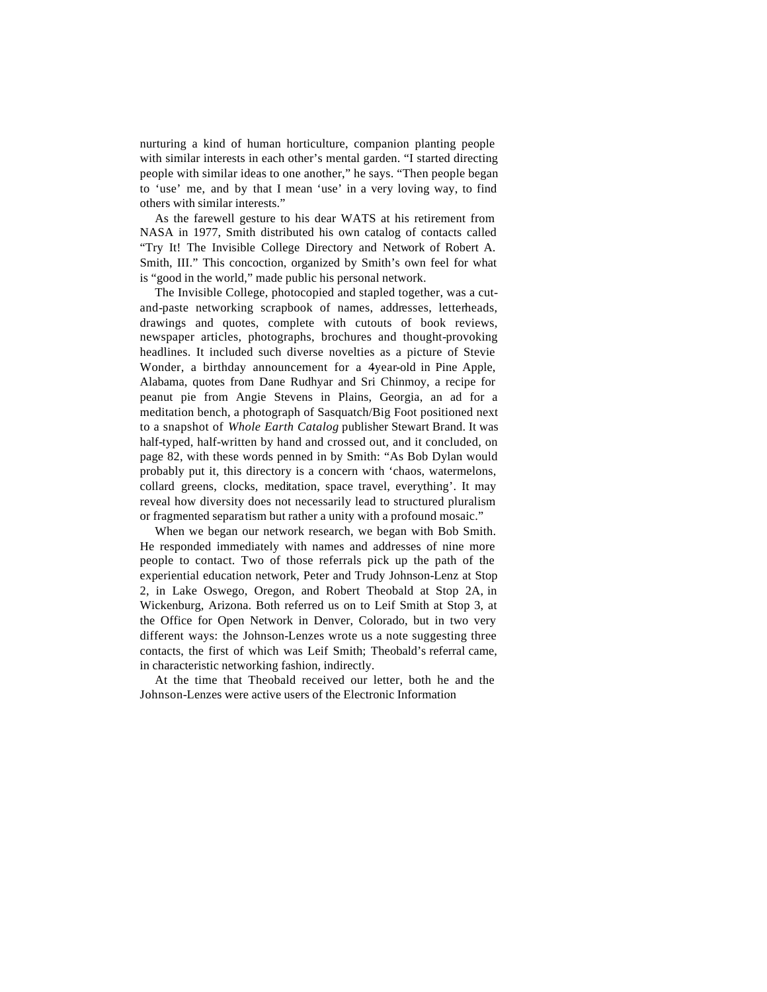nurturing a kind of human horticulture, companion planting people with similar interests in each other's mental garden. "I started directing people with similar ideas to one another," he says. "Then people began to 'use' me, and by that I mean 'use' in a very loving way, to find others with similar interests."

As the farewell gesture to his dear WATS at his retirement from NASA in 1977, Smith distributed his own catalog of contacts called "Try It! The Invisible College Directory and Network of Robert A. Smith, III." This concoction, organized by Smith's own feel for what is "good in the world," made public his personal network.

The Invisible College, photocopied and stapled together, was a cutand-paste networking scrapbook of names, addresses, letterheads, drawings and quotes, complete with cutouts of book reviews, newspaper articles, photographs, brochures and thought-provoking headlines. It included such diverse novelties as a picture of Stevie Wonder, a birthday announcement for a 4year-old in Pine Apple, Alabama, quotes from Dane Rudhyar and Sri Chinmoy, a recipe for peanut pie from Angie Stevens in Plains, Georgia, an ad for a meditation bench, a photograph of Sasquatch/Big Foot positioned next to a snapshot of *Whole Earth Catalog* publisher Stewart Brand. It was half-typed, half-written by hand and crossed out, and it concluded, on page 82, with these words penned in by Smith: "As Bob Dylan would probably put it, this directory is a concern with 'chaos, watermelons, collard greens, clocks, meditation, space travel, everything'. It may reveal how diversity does not necessarily lead to structured pluralism or fragmented separatism but rather a unity with a profound mosaic."

When we began our network research, we began with Bob Smith. He responded immediately with names and addresses of nine more people to contact. Two of those referrals pick up the path of the experiential education network, Peter and Trudy Johnson-Lenz at Stop 2, in Lake Oswego, Oregon, and Robert Theobald at Stop 2A, in Wickenburg, Arizona. Both referred us on to Leif Smith at Stop 3, at the Office for Open Network in Denver, Colorado, but in two very different ways: the Johnson-Lenzes wrote us a note suggesting three contacts, the first of which was Leif Smith; Theobald's referral came, in characteristic networking fashion, indirectly.

At the time that Theobald received our letter, both he and the Johnson-Lenzes were active users of the Electronic Information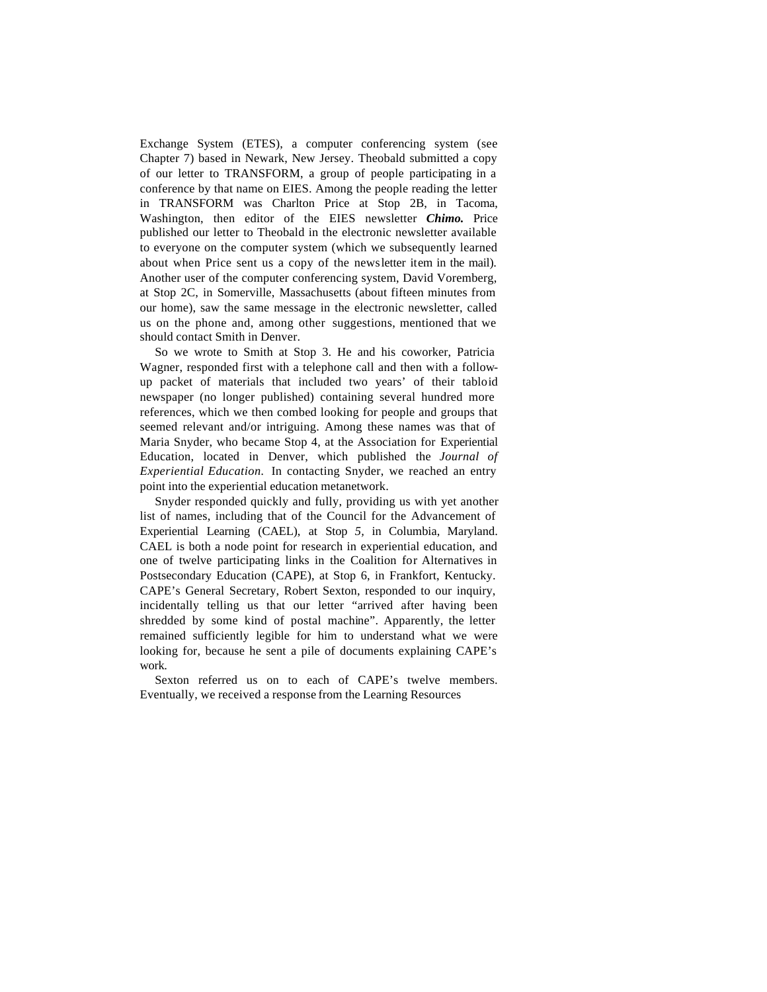Exchange System (ETES), a computer conferencing system (see Chapter 7) based in Newark, New Jersey. Theobald submitted a copy of our letter to TRANSFORM, a group of people participating in a conference by that name on EIES. Among the people reading the letter in TRANSFORM was Charlton Price at Stop 2B, in Tacoma, Washington, then editor of the EIES newsletter *Chimo.* Price published our letter to Theobald in the electronic newsletter available to everyone on the computer system (which we subsequently learned about when Price sent us a copy of the newsletter item in the mail). Another user of the computer conferencing system, David Voremberg, at Stop 2C, in Somerville, Massachusetts (about fifteen minutes from our home), saw the same message in the electronic newsletter, called us on the phone and, among other suggestions, mentioned that we should contact Smith in Denver.

So we wrote to Smith at Stop 3. He and his coworker, Patricia Wagner, responded first with a telephone call and then with a followup packet of materials that included two years' of their tabloid newspaper (no longer published) containing several hundred more references, which we then combed looking for people and groups that seemed relevant and/or intriguing. Among these names was that of Maria Snyder, who became Stop 4, at the Association for Experiential Education, located in Denver, which published the *Journal of Experiential Education.* In contacting Snyder, we reached an entry point into the experiential education metanetwork.

Snyder responded quickly and fully, providing us with yet another list of names, including that of the Council for the Advancement of Experiential Learning (CAEL), at Stop *5,* in Columbia, Maryland. CAEL is both a node point for research in experiential education, and one of twelve participating links in the Coalition for Alternatives in Postsecondary Education (CAPE), at Stop 6, in Frankfort, Kentucky. CAPE's General Secretary, Robert Sexton, responded to our inquiry, incidentally telling us that our letter "arrived after having been shredded by some kind of postal machine". Apparently, the letter remained sufficiently legible for him to understand what we were looking for, because he sent a pile of documents explaining CAPE's work.

Sexton referred us on to each of CAPE's twelve members. Eventually, we received a response from the Learning Resources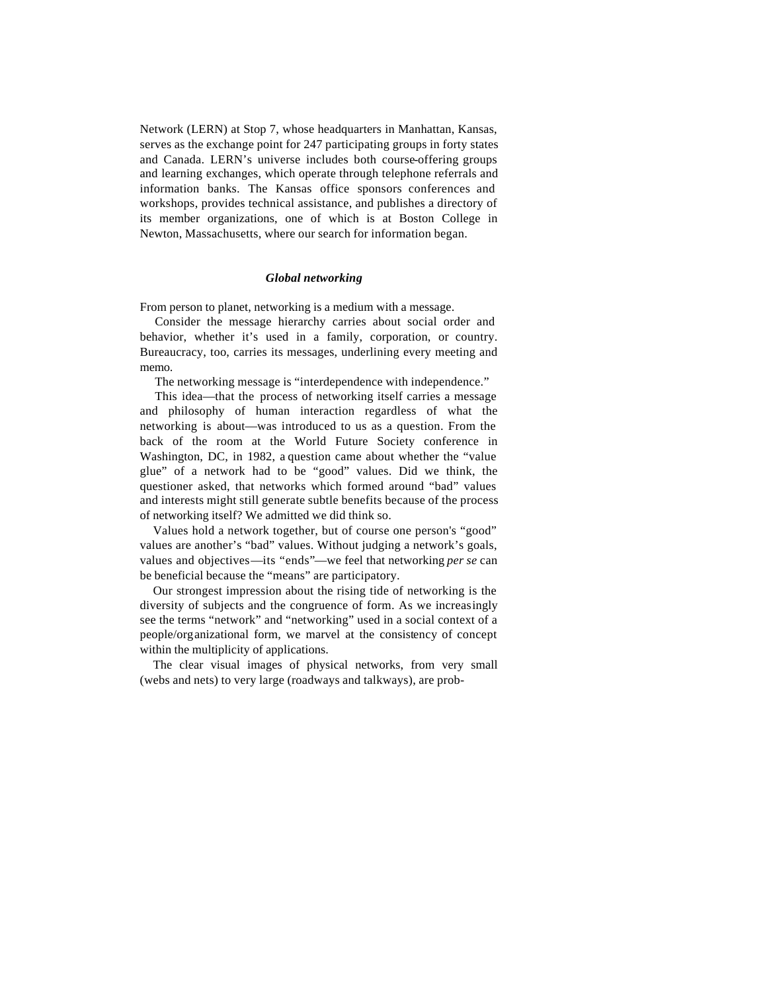Network (LERN) at Stop 7, whose headquarters in Manhattan, Kansas, serves as the exchange point for 247 participating groups in forty states and Canada. LERN's universe includes both course-offering groups and learning exchanges, which operate through telephone referrals and information banks. The Kansas office sponsors conferences and workshops, provides technical assistance, and publishes a directory of its member organizations, one of which is at Boston College in Newton, Massachusetts, where our search for information began.

### *Global networking*

From person to planet, networking is a medium with a message.

Consider the message hierarchy carries about social order and behavior, whether it's used in a family, corporation, or country. Bureaucracy, too, carries its messages, underlining every meeting and memo.

The networking message is "interdependence with independence."

This idea—that the process of networking itself carries a message and philosophy of human interaction regardless of what the networking is about—was introduced to us as a question. From the back of the room at the World Future Society conference in Washington, DC, in 1982, a question came about whether the "value glue" of a network had to be "good" values. Did we think, the questioner asked, that networks which formed around "bad" values and interests might still generate subtle benefits because of the process of networking itself? We admitted we did think so.

Values hold a network together, but of course one person's "good" values are another's "bad" values. Without judging a network's goals, values and objectives—its "ends"—we feel that networking *per se* can be beneficial because the "means" are participatory.

Our strongest impression about the rising tide of networking is the diversity of subjects and the congruence of form. As we increasingly see the terms "network" and "networking" used in a social context of a people/organizational form, we marvel at the consistency of concept within the multiplicity of applications.

The clear visual images of physical networks, from very small (webs and nets) to very large (roadways and talkways), are prob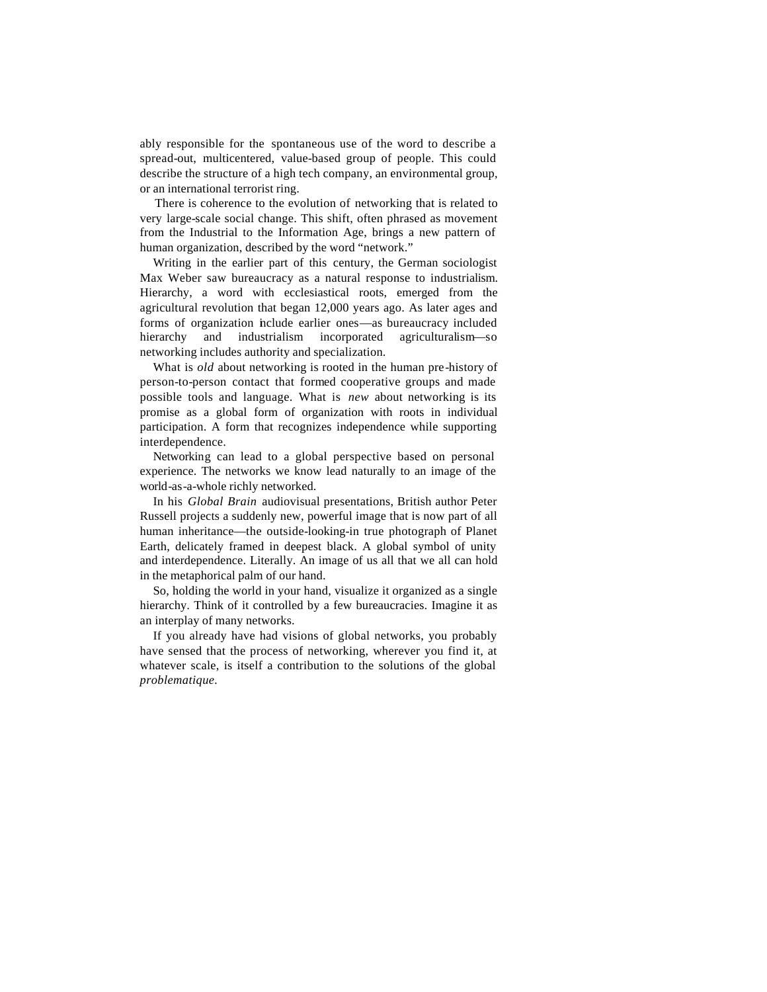ably responsible for the spontaneous use of the word to describe a spread-out, multicentered, value-based group of people. This could describe the structure of a high tech company, an environmental group, or an international terrorist ring.

There is coherence to the evolution of networking that is related to very large-scale social change. This shift, often phrased as movement from the Industrial to the Information Age, brings a new pattern of human organization, described by the word "network."

Writing in the earlier part of this century, the German sociologist Max Weber saw bureaucracy as a natural response to industrialism. Hierarchy, a word with ecclesiastical roots, emerged from the agricultural revolution that began 12,000 years ago. As later ages and forms of organization include earlier ones—as bureaucracy included hierarchy and industrialism incorporated agriculturalism—so networking includes authority and specialization.

What is *old* about networking is rooted in the human pre-history of person-to-person contact that formed cooperative groups and made possible tools and language. What is *new* about networking is its promise as a global form of organization with roots in individual participation. A form that recognizes independence while supporting interdependence.

Networking can lead to a global perspective based on personal experience. The networks we know lead naturally to an image of the world-as-a-whole richly networked.

In his *Global Brain* audiovisual presentations, British author Peter Russell projects a suddenly new, powerful image that is now part of all human inheritance—the outside-looking-in true photograph of Planet Earth, delicately framed in deepest black. A global symbol of unity and interdependence. Literally. An image of us all that we all can hold in the metaphorical palm of our hand.

So, holding the world in your hand, visualize it organized as a single hierarchy. Think of it controlled by a few bureaucracies. Imagine it as an interplay of many networks.

If you already have had visions of global networks, you probably have sensed that the process of networking, wherever you find it, at whatever scale, is itself a contribution to the solutions of the global *problematique.*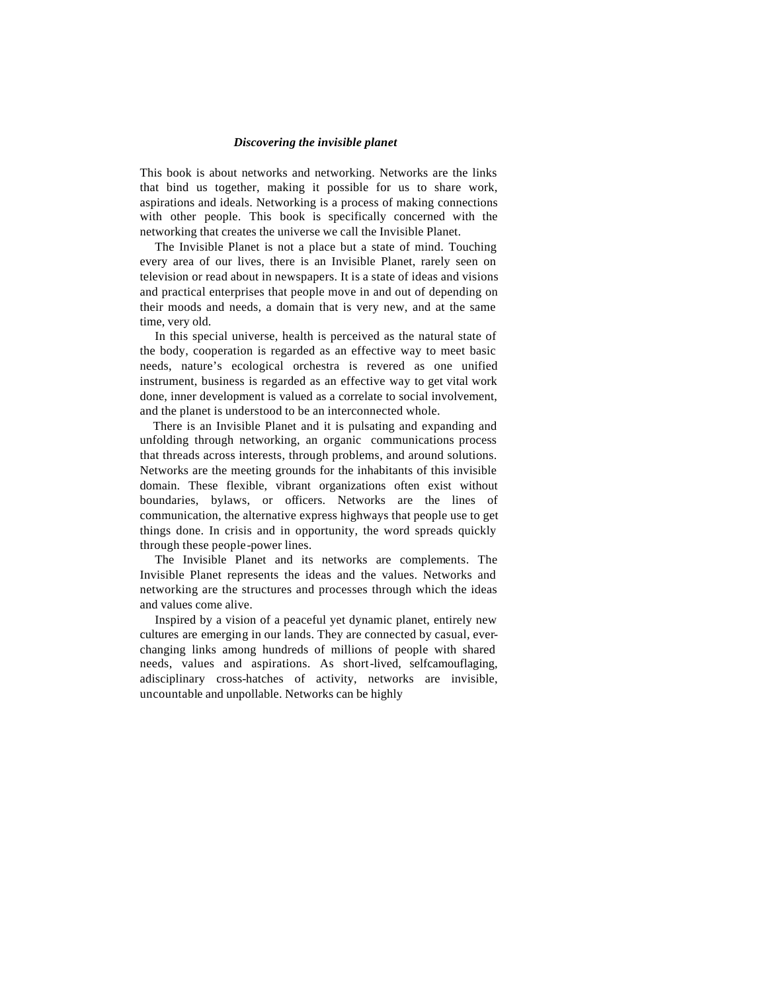#### *Discovering the invisible planet*

This book is about networks and networking. Networks are the links that bind us together, making it possible for us to share work, aspirations and ideals. Networking is a process of making connections with other people. This book is specifically concerned with the networking that creates the universe we call the Invisible Planet.

The Invisible Planet is not a place but a state of mind. Touching every area of our lives, there is an Invisible Planet, rarely seen on television or read about in newspapers. It is a state of ideas and visions and practical enterprises that people move in and out of depending on their moods and needs, a domain that is very new, and at the same time, very old.

In this special universe, health is perceived as the natural state of the body, cooperation is regarded as an effective way to meet basic needs, nature's ecological orchestra is revered as one unified instrument, business is regarded as an effective way to get vital work done, inner development is valued as a correlate to social involvement, and the planet is understood to be an interconnected whole.

There is an Invisible Planet and it is pulsating and expanding and unfolding through networking, an organic communications process that threads across interests, through problems, and around solutions. Networks are the meeting grounds for the inhabitants of this invisible domain. These flexible, vibrant organizations often exist without boundaries, bylaws, or officers. Networks are the lines of communication, the alternative express highways that people use to get things done. In crisis and in opportunity, the word spreads quickly through these people-power lines.

The Invisible Planet and its networks are complements. The Invisible Planet represents the ideas and the values. Networks and networking are the structures and processes through which the ideas and values come alive.

Inspired by a vision of a peaceful yet dynamic planet, entirely new cultures are emerging in our lands. They are connected by casual, everchanging links among hundreds of millions of people with shared needs, values and aspirations. As short-lived, selfcamouflaging, adisciplinary cross-hatches of activity, networks are invisible, uncountable and unpollable. Networks can be highly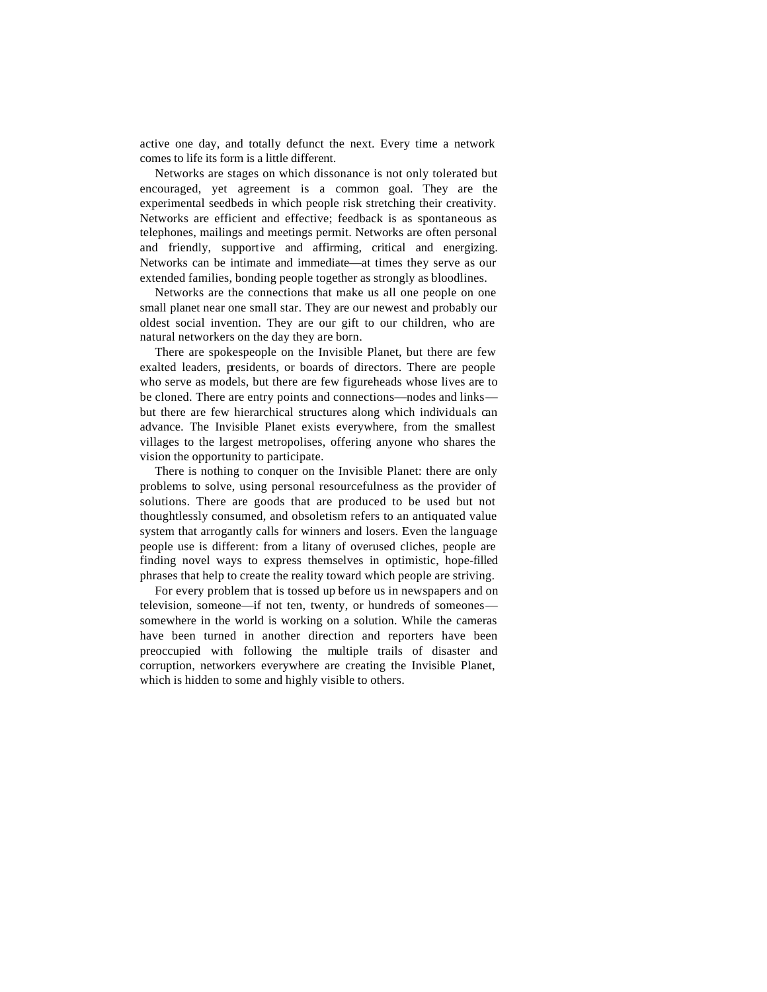active one day, and totally defunct the next. Every time a network comes to life its form is a little different.

Networks are stages on which dissonance is not only tolerated but encouraged, yet agreement is a common goal. They are the experimental seedbeds in which people risk stretching their creativity. Networks are efficient and effective; feedback is as spontaneous as telephones, mailings and meetings permit. Networks are often personal and friendly, supportive and affirming, critical and energizing. Networks can be intimate and immediate—at times they serve as our extended families, bonding people together as strongly as bloodlines.

Networks are the connections that make us all one people on one small planet near one small star. They are our newest and probably our oldest social invention. They are our gift to our children, who are natural networkers on the day they are born.

There are spokespeople on the Invisible Planet, but there are few exalted leaders, presidents, or boards of directors. There are people who serve as models, but there are few figureheads whose lives are to be cloned. There are entry points and connections—nodes and links but there are few hierarchical structures along which individuals can advance. The Invisible Planet exists everywhere, from the smallest villages to the largest metropolises, offering anyone who shares the vision the opportunity to participate.

There is nothing to conquer on the Invisible Planet: there are only problems to solve, using personal resourcefulness as the provider of solutions. There are goods that are produced to be used but not thoughtlessly consumed, and obsoletism refers to an antiquated value system that arrogantly calls for winners and losers. Even the language people use is different: from a litany of overused cliches, people are finding novel ways to express themselves in optimistic, hope-filled phrases that help to create the reality toward which people are striving.

For every problem that is tossed up before us in newspapers and on television, someone—if not ten, twenty, or hundreds of someones somewhere in the world is working on a solution. While the cameras have been turned in another direction and reporters have been preoccupied with following the multiple trails of disaster and corruption, networkers everywhere are creating the Invisible Planet, which is hidden to some and highly visible to others.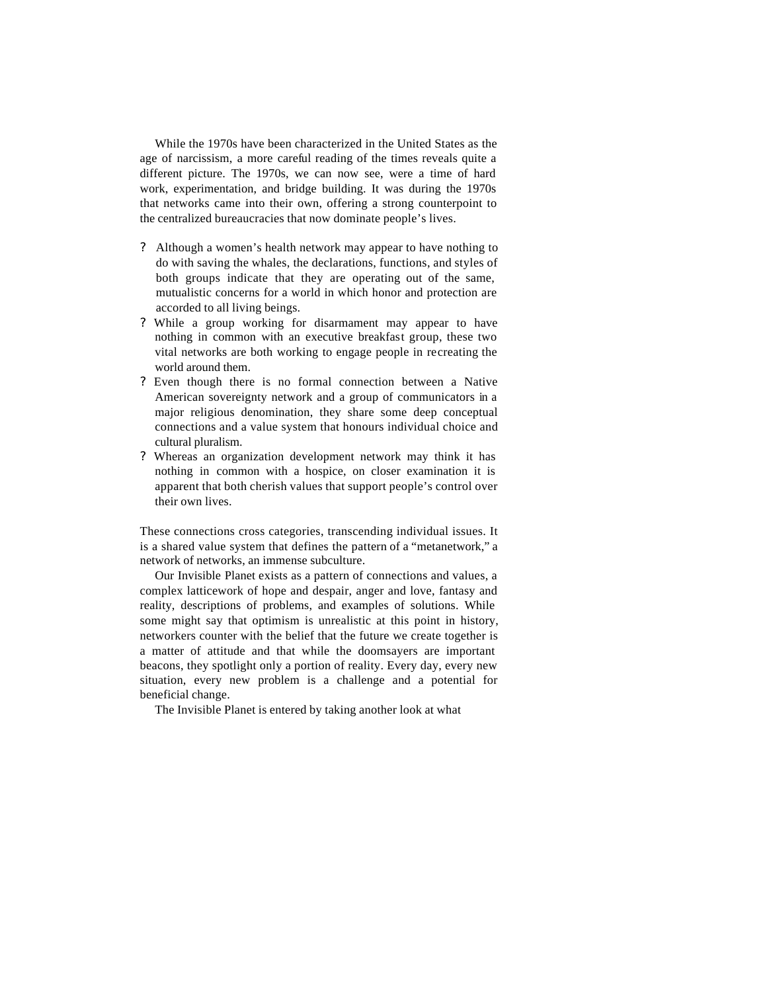While the 1970s have been characterized in the United States as the age of narcissism, a more careful reading of the times reveals quite a different picture. The 1970s, we can now see, were a time of hard work, experimentation, and bridge building. It was during the 1970s that networks came into their own, offering a strong counterpoint to the centralized bureaucracies that now dominate people's lives.

- ? Although a women's health network may appear to have nothing to do with saving the whales, the declarations, functions, and styles of both groups indicate that they are operating out of the same, mutualistic concerns for a world in which honor and protection are accorded to all living beings.
- ? While a group working for disarmament may appear to have nothing in common with an executive breakfast group, these two vital networks are both working to engage people in recreating the world around them.
- ? Even though there is no formal connection between a Native American sovereignty network and a group of communicators in a major religious denomination, they share some deep conceptual connections and a value system that honours individual choice and cultural pluralism.
- ? Whereas an organization development network may think it has nothing in common with a hospice, on closer examination it is apparent that both cherish values that support people's control over their own lives.

These connections cross categories, transcending individual issues. It is a shared value system that defines the pattern of a "metanetwork," a network of networks, an immense subculture.

Our Invisible Planet exists as a pattern of connections and values, a complex latticework of hope and despair, anger and love, fantasy and reality, descriptions of problems, and examples of solutions. While some might say that optimism is unrealistic at this point in history, networkers counter with the belief that the future we create together is a matter of attitude and that while the doomsayers are important beacons, they spotlight only a portion of reality. Every day, every new situation, every new problem is a challenge and a potential for beneficial change.

The Invisible Planet is entered by taking another look at what